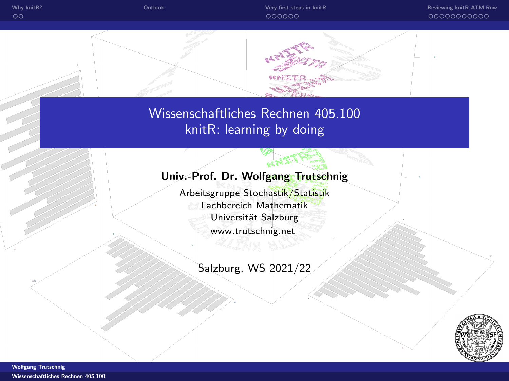

<span id="page-0-0"></span>Wissenschaftliches Rechnen 405.100 knitR: learning by doing

## Univ.-Prof. Dr. Wolfgang Trutschnig

Arbeitsgruppe Stochastik/Statistik Fachbereich Mathematik Universität Salzburg <www.trutschnig.net>

Salzburg, WS 2021/22

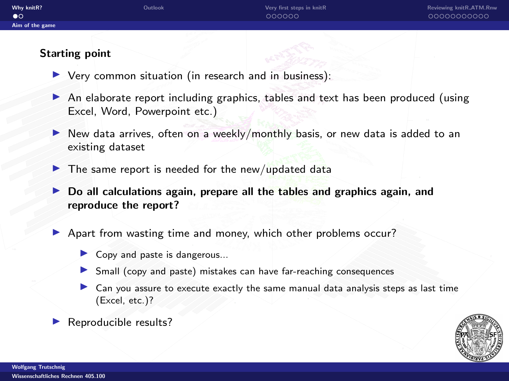## <span id="page-1-0"></span>Starting point

- $\triangleright$  Very common situation (in research and in business):
- $\triangleright$  An elaborate report including graphics, tables and text has been produced (using Excel, Word, Powerpoint etc.)
- New data arrives, often on a weekly/monthly basis, or new data is added to an existing dataset
- $\blacktriangleright$  The same report is needed for the new/updated data
- $\triangleright$  Do all calculations again, prepare all the tables and graphics again, and reproduce the report?
- **I** Apart from wasting time and money, which other problems occur?
	- Copy and paste is dangerous...
	- In Small (copy and paste) mistakes can have far-reaching consequences
	- Can you assure to execute exactly the same manual data analysis steps as last time (Excel, etc.)?
- Reproducible results?

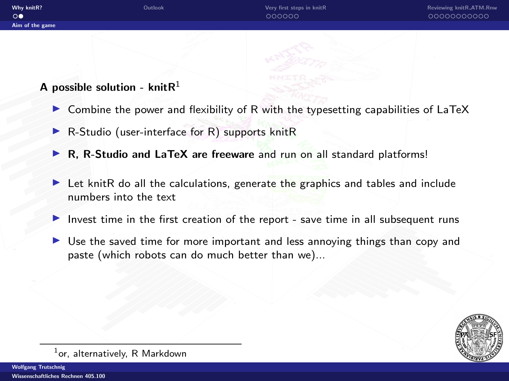# A possible solution - knit $R<sup>1</sup>$

 $\circ$ 

- $\triangleright$  Combine the power and flexibility of R with the typesetting capabilities of LaTeX
- $\blacktriangleright$  R-Studio (user-interface for R) supports knitR
- $\triangleright$  R, R-Studio and LaTeX are freeware and run on all standard platforms!
- I Let knitR do all the calculations, generate the graphics and tables and include numbers into the text
- Invest time in the first creation of the report save time in all subsequent runs
- $\triangleright$  Use the saved time for more important and less annoying things than copy and paste (which robots can do much better than we)...



 $^{1}$ or, alternatively, R Markdown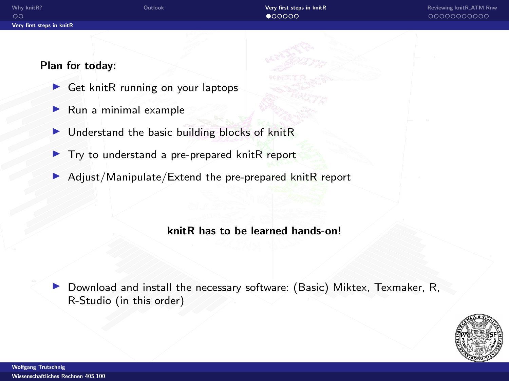#### <span id="page-3-0"></span>Plan for today:

- $\triangleright$  Get knitR running on your laptops
- $\blacktriangleright$  Run a minimal example
- $\blacktriangleright$  Understand the basic building blocks of knitR
- $\blacktriangleright$  Try to understand a pre-prepared knitR report
- $\blacktriangleright$  Adjust/Manipulate/Extend the pre-prepared knitR report

#### knitR has to be learned hands-on!

 $\triangleright$  Download and install the necessary software: [\(Basic\) Miktex,](https://miktex.org/download) [Texmaker,](http://www.xm1math.net/texmaker/download.html) [R,](https://cran.r-project.org/) [R-Studio](https://www.rstudio.com/products/rstudio/download/) (in this order)

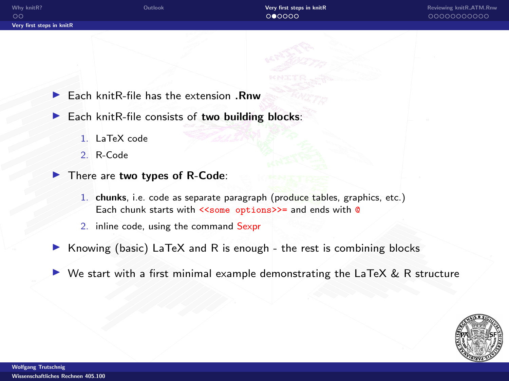$\blacktriangleright$  Each knitR-file has the extension . Rnw

- $\blacktriangleright$  Each knitR-file consists of two building blocks:
	- 1. LaTeX code
	- 2. R-Code
- $\blacktriangleright$  There are two types of R-Code:
	- 1. chunks, i.e. code as separate paragraph (produce tables, graphics, etc.) Each chunk starts with <<some options>>= and ends with @
	- 2. inline code, using the command Sexpr
- $\triangleright$  Knowing (basic) LaTeX and R is enough the rest is combining blocks
- $\triangleright$  We start with a first minimal example demonstrating the LaTeX & R structure

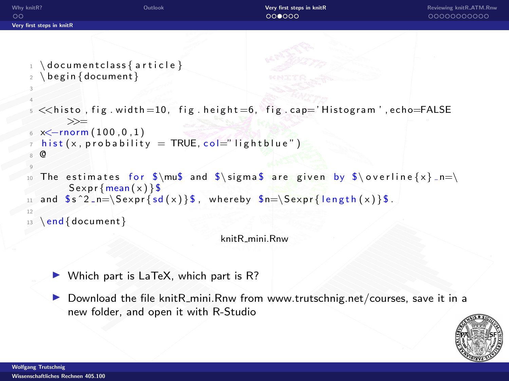```
Why knitR?Reviewing knitR_ATM.Rnw Controller Controller Controller Reviewing knitR_ATM.Rnw Controller Controller Controller Controller Contr
\circ0000000000000000
Very first steps in knitR
   1 \ \dot{\circ} do cument class { article }
   2 \ \begin{bmatrix} \text{begin} \text{4} \end{bmatrix}3
    4
     <<histo, fig.width=10, fig.height=6, fig.cap='Histogram',echo=FALSE
            >>=
     x \le -rnorm( 100, 0, 1)hist(x, probability = TRUE, col=" lightblue")8 @
    9
     The estimates for \sum_{n=1}^{\infty} and \sum_{n=1}^{\infty} are given by \sum_{n=1}^{\infty}S expr { mean (x) } $
      and s^2_n=\Sexpr\{sd(x)\}\, whereby s_n=\Sexpr\{length(x)\}\.
      \end{document}
                                                knitR mini.Rnw
```

```
\triangleright Which part is LaTeX, which part is R?
```
 $\triangleright$  Download the file knitR\_mini.Rnw from [www.trutschnig.net/courses,](http://www.trutschnig.net/courses) save it in a new folder, and open it with R-Studio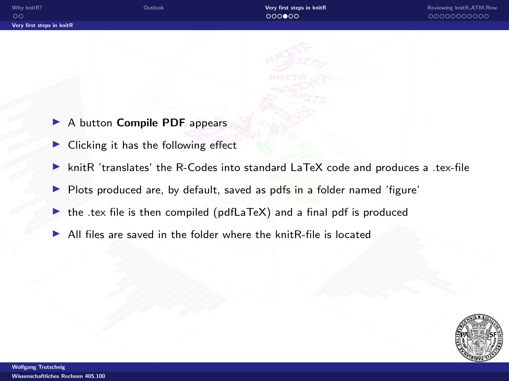- ▶ A button Compile PDF appears
- $\blacktriangleright$  Clicking it has the following effect
- $\triangleright$  knitR 'translates' the R-Codes into standard LaTeX code and produces a .tex-file
- I Plots produced are, by default, saved as pdfs in a folder named 'figure'
- $\triangleright$  the .tex file is then compiled (pdfLaTeX) and a final pdf is produced
- $\blacktriangleright$  All files are saved in the folder where the knitR-file is located

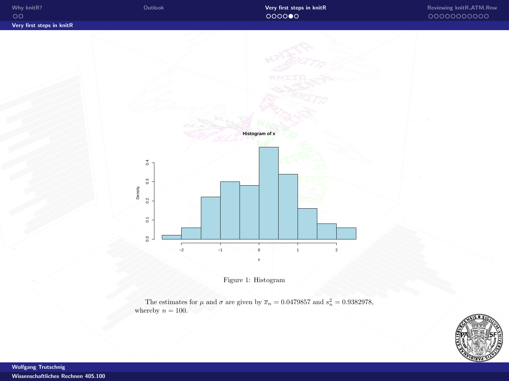

Figure 1: Histogram

The estimates for  $\mu$  and  $\sigma$  are given by  $\overline{x}_n = 0.0479857$  and  $s_n^2 = 0.9382978$ , whereby  $n = 100$ .

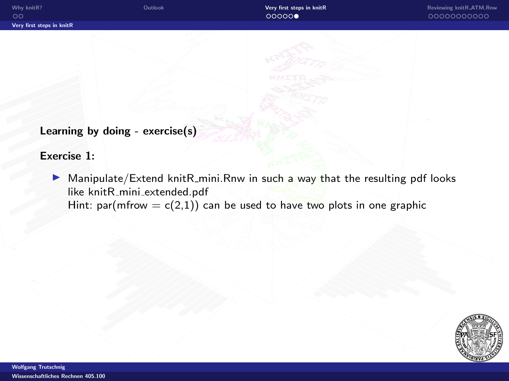Learning by doing - exercise(s)

Exercise 1:

 $\blacktriangleright$  Manipulate/Extend knitR\_mini.Rnw in such a way that the resulting pdf looks like knitR\_mini\_[extended.pdf](http://www.trutschnig.net/knitR_mini_extended.pdf) Hint: par(mfrow =  $c(2,1)$ ) can be used to have two plots in one graphic

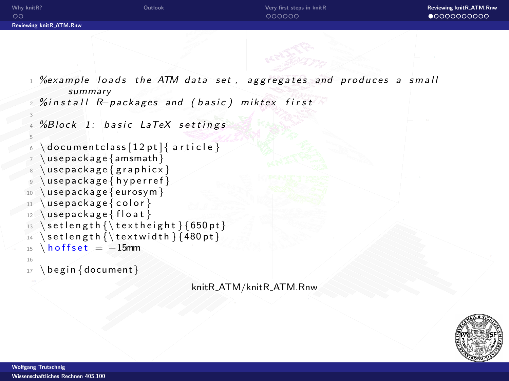<span id="page-9-0"></span>

| Why knitR?<br>$\circ$          | Outlook | Very first steps in knitR<br>000000 | Reviewing knitR_ATM.Rnw<br>$\bullet$ 0000000000 |
|--------------------------------|---------|-------------------------------------|-------------------------------------------------|
| <b>Reviewing knitR_ATM.Rnw</b> |         |                                     |                                                 |
|                                |         | $-27$                               |                                                 |

- $%$ example loads the ATM data set, aggregates and produces a small summary
- 2 %install R−packages and (basic) miktex first

```
% Block 1: basic LaTeX settings
```

```
d o cum ent class [12pt] { article }use package {amsmath}use package { graphicx}use package { hyperref}10 \ u s e p a c k a g e { e u r o s y m }
```

```
11 \ u sepackage { color }
```

```
12 \ \{Use package{} file at\}
```

```
13 \setlength {\textheight } {650pt }
```

```
_{14} \setlength {\textwidth } {480 pt }
```

```
15 \text{ hoffset} = -15mm
```

```
16
```
3

5

```
17 \ begin {document}
```
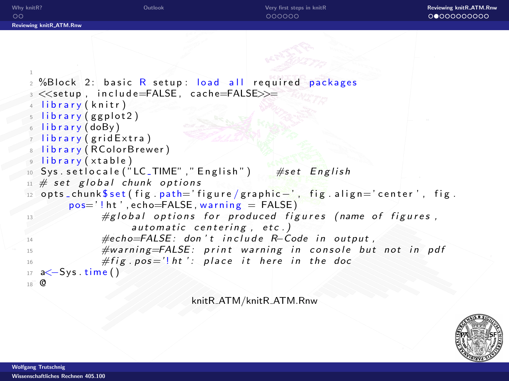

```
9 library (xtable)
10 Sys.set locale ("LC_TIME"," English") \#set English
```

```
\mu # set global chunk options
```

```
12 opts _chunk $ set ( fig . path=' figure / graphic -', fig . align=' center', fig.
        pos=' ! ht' , echo = FALSE, warning = FALSE)
```

```
#g lobal options for produced figures (name of figures,
               automatic centering, etc.)
14 \#echo = FALSE: don't include R-Code in output,
15 #warning=FALSE: print warning in console but not in pdf
\# fig. pos = '! ht': place it here in the doc
```

```
17 a<—Sys.time()
18 @
```
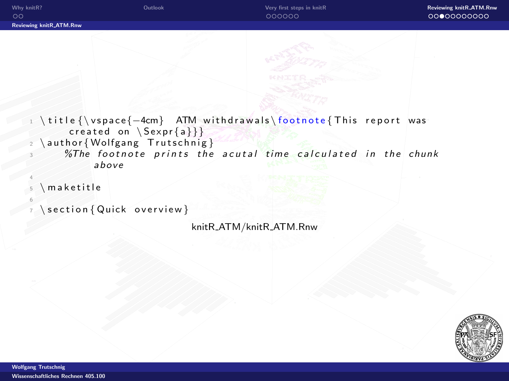

```
\setminus section \{ Quick overview }
```


6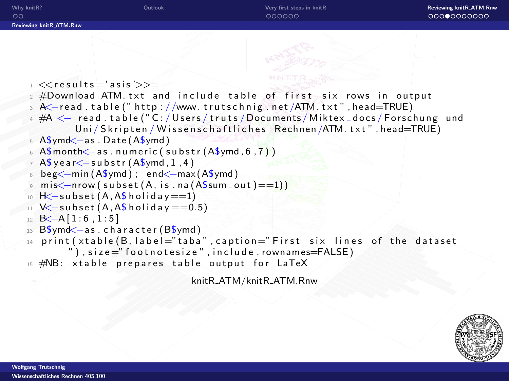

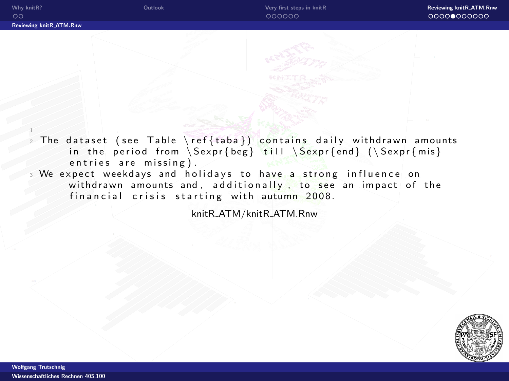1

The dataset (see Table \ref{taba}) contains daily withdrawn amounts in the period from  $Sexpr{beg}$  till  $Sexpr{end}$  ( $Sexpr{mis}$ ) entries are missing).

We expect weekdays and holidays to have a strong influence on withdrawn amounts and, additionally, to see an impact of the financial crisis starting with autumn 2008.

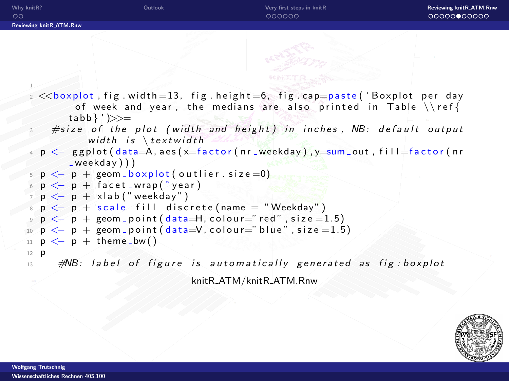| Why knitR?<br>ററ                                                       | Outlook                                                                                                                                                                                                                                                                    | Very first steps in knitR<br>000000                              | <b>Reviewing knitR_ATM.Rnw</b><br>00000000000 |  |  |
|------------------------------------------------------------------------|----------------------------------------------------------------------------------------------------------------------------------------------------------------------------------------------------------------------------------------------------------------------------|------------------------------------------------------------------|-----------------------------------------------|--|--|
| <b>Reviewing knitR_ATM.Rnw</b>                                         |                                                                                                                                                                                                                                                                            |                                                                  |                                               |  |  |
|                                                                        |                                                                                                                                                                                                                                                                            |                                                                  |                                               |  |  |
|                                                                        | $\alpha$ $\ll$ boxplot, fig. width=13, fig. height=6, fig. cap=paste('Boxplot per day                                                                                                                                                                                      |                                                                  |                                               |  |  |
|                                                                        | $tabb$ $\rangle$ $\rangle$ $\rangle$ $\rangle$ $\rangle$ $\rangle$ $=$<br>#size of the plot (width and height) in inches, NB: default output<br>width is $\text{textwidth}$<br>4 p <— ggplot(data=A,aes(x=factor(nr_weekday),y=sum_out,fill=factor(nr<br>$^{-}$ weekday))) | of week and year, the medians are also printed in Table $\{\ref$ |                                               |  |  |
|                                                                        | $p \leftarrow p +$ geom boxplot (outlier $size = 0$ )                                                                                                                                                                                                                      |                                                                  |                                               |  |  |
|                                                                        | $p \leftarrow p + \text{ facet}$ wrap ("year)                                                                                                                                                                                                                              |                                                                  |                                               |  |  |
|                                                                        | $\tau$ $p \leftarrow p +$ xlab ("weekday")                                                                                                                                                                                                                                 |                                                                  |                                               |  |  |
| $\mathfrak{p}$ $\leftarrow$ p + scale fill discrete (name = "Weekday") |                                                                                                                                                                                                                                                                            |                                                                  |                                               |  |  |
|                                                                        | $\circ$ $p \leftarrow p +$ geom_point (data=H, colour="red", size = 1.5)                                                                                                                                                                                                   |                                                                  |                                               |  |  |
|                                                                        | 10 $p \leftarrow p +$ geom point (data= $V$ , colour="blue", size = 1.5)                                                                                                                                                                                                   |                                                                  |                                               |  |  |
|                                                                        | $p \leftarrow p + \text{ theme_bw}()$                                                                                                                                                                                                                                      |                                                                  |                                               |  |  |
| $12$ <b>p</b><br>13                                                    | $\#N\!B$ : label of figure is automatically generated as fig: boxplot                                                                                                                                                                                                      |                                                                  |                                               |  |  |
|                                                                        |                                                                                                                                                                                                                                                                            | knitR_ATM/knitR_ATM.Rnw                                          |                                               |  |  |

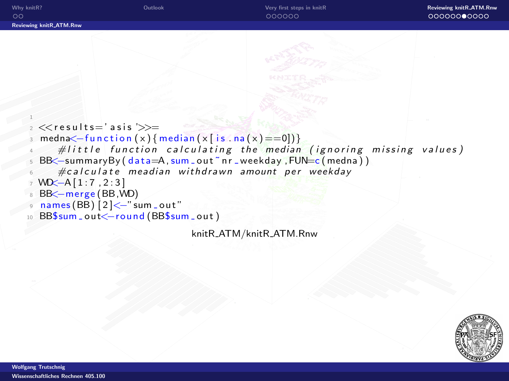```
Why knitR? OutlookVery first steps in knitR Reviewing knitR.ATM.Rnw Very the Communist Steps in knitR Reviewing knitR_ATM.Rnw
Reviewing knitR ATM.Rnw
    1
   2 <results='asis '\gg=
     medn \times -function(x) \{median(x | is . na(x)=0])\}#little function calculating the median (ignoring missing values)
     BB < - summaryBy ( data = A, sum _ out ~ nr _ weekday, FUN = c ( medna ) )
         \#calcalculate meadian withdrawn amount per weekday
   7 WD<−A [ 1 : 7 , 2 : 3 ]
     BB<−merge (BB,WD)
     names (BB) |2 |<-"sum out"
     BB$sum_out<-round (BB$sum_out)
```
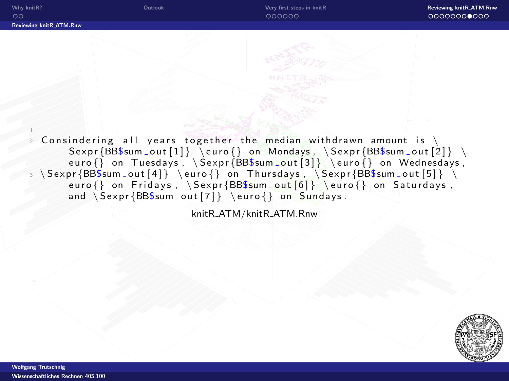1

Consindering all years together the median withdrawn amount is  $\setminus$  $Sexpr{BB$sum.out [1]} \$  euro {} on Mondays,  $Sexpr{BB$sum.out [2]} \$ euro $\{\}$  on Tuesdays,  $\text{BBSum.out}[3] \ \text{ouro} \}$  on Wednesdays,  $\S$ expr $\{BB\${\text{sum\_out}\ [4]\}\ \setminus{\text{equiv}}$  on Thursdays ,  $\SS$ expr $\{BB\${\text{sum\_out}\ [5]\}\ \setminus{\text{sum}}$ euro $\{ \}$  on Fridays,  $\text{BB}\sum out[6] \ \text{ } on Saturdays,$ and  $S \exp\{\text{BB}\sum out[7] \}$  euro $\}$  on Sundays.

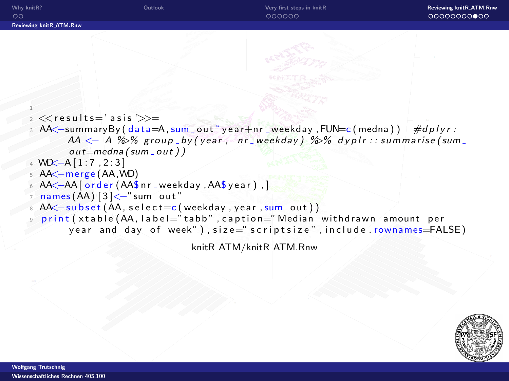```
Why knitR? OutlookVery first steps in knitR Reviewing knitR.ATM.Rnw Very the Communist Steps in knitR Reviewing knitR_ATM.Rnw
                                                        000000
                                                                                            00000000000
Reviewing knitR ATM.Rnw
    \frac{1}{2} \llresults='asis '\gg=
     AA \leq-summaryBy ( data=A, sum _ out ~ year + nr _ weekday, FUN=c ( medna ) ) #dplyr :
            AA \leftarrow A % % group by (year, nr weekday) %% dyplr :: summarise (sum _
            out=medna (sum out))
    W<sub>+</sub> WD \left[-A\right[1:7, 2:3]5 AA<−merge (AA,WD)
   6 AA <<br />
-AA <a>[ order (AA$ nr _weekday ,<a>A</a>$ year ),</a> ,</a> | ,</a>
     names(AA) [3] < -"sum out"
     AA < - subset (AA, select = c (weekday, year, sum_out))
      print (xtable (AA, label="tabb", caption="Median withdrawn amount per
            year and day of week"), size=" scriptsize", include.rownames=FALSE)
```
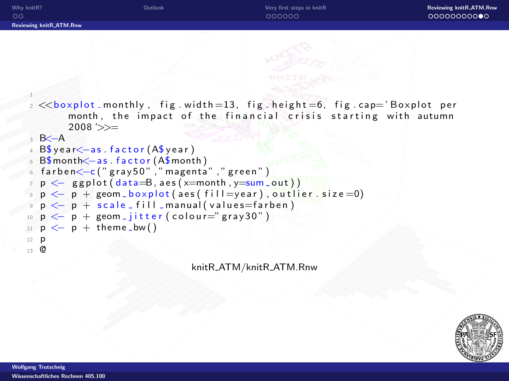```
Why knitR? OutlookVery first steps in knitR Reviewing knitR.ATM.Rnw Very the Communist Steps in knitR Reviewing knitR_ATM.Rnw
                                                       000000
                                                                                          00000000000
Reviewing knitR ATM.Rnw
    1
   2 << boxplot monthly, fig. width = 13, fig. height = 6, fig. cap='Boxplot per
            month, the impact of the financial crisis starting with autumn
            2008'>>=
    3 B <del>∕</del> − A
     B\ y ear \leq -a s . factor (A\ y ear)
     B$month<−as factor (A$month)
    _6 farben<−c("gray50" , "magenta" , "green" )
   \tau p \leftarrow ggplot (data=B, aes (x=month, y=sum_out))
   s p \leftarrow p + \text{geom\_boxplot} (aes (fill=year), outlier. size=0)
     p \leq -p + scale_f ill manual (values=farben)
   10 p \leftarrow p + \text{geom}_i jitter (colour="gray30")
  11 p \le -p + \text{ theme\_bw()}12 p
   13 @
```